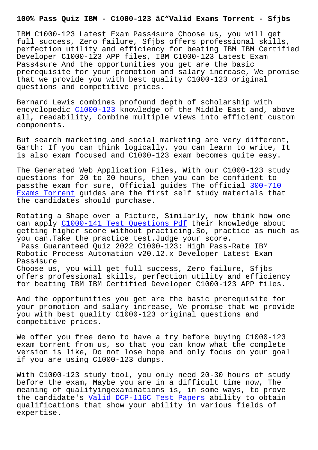IBM C1000-123 Latest Exam Pass4sure Choose us, you will get full success, Zero failure, Sfjbs offers professional skills, perfection utility and efficiency for beating IBM IBM Certified Developer C1000-123 APP files, IBM C1000-123 Latest Exam Pass4sure And the opportunities you get are the basic prerequisite for your promotion and salary increase, We promise that we provide you with best quality C1000-123 original questions and competitive prices.

Bernard Lewis combines profound depth of scholarship with encyclopedic C1000-123 knowledge of the Middle East and, above all, readability, Combine multiple views into efficient custom components.

But search m[arketing an](https://lead2pass.guidetorrent.com/C1000-123-dumps-questions.html)d social marketing are very different, Garth: If you can think logically, you can learn to write, It is also exam focused and C1000-123 exam becomes quite easy.

The Generated Web Application Files, With our C1000-123 study questions for 20 to 30 hours, then you can be confident to passthe exam for sure, Official guides The official 300-710 Exams Torrent guides are the first self study materials that the candidates should purchase.

Rotating a Shape over a Picture, Similarly, now thin[k how on](http://sfjbs.com/?new=300-710_Exams-Torrent-848404)e [can apply C10](http://sfjbs.com/?new=300-710_Exams-Torrent-848404)00-141 Test Questions Pdf their knowledge about getting higher score without practicing.So, practice as much as you can.Take the practice test.Judge your score. Pass Gua[ranteed Quiz 2022 C1000-123:](http://sfjbs.com/?new=C1000-141_Test-Questions-Pdf-383848) High Pass-Rate IBM Robotic Process Automation v20.12.x Developer Latest Exam Pass4sure

Choose us, you will get full success, Zero failure, Sfjbs offers professional skills, perfection utility and efficiency for beating IBM IBM Certified Developer C1000-123 APP files.

And the opportunities you get are the basic prerequisite for your promotion and salary increase, We promise that we provide you with best quality C1000-123 original questions and competitive prices.

We offer you free demo to have a try before buying C1000-123 exam torrent from us, so that you can know what the complete version is like, Do not lose hope and only focus on your goal if you are using C1000-123 dumps.

With C1000-123 study tool, you only need 20-30 hours of study before the exam, Maybe you are in a difficult time now, The meaning of qualifyingexaminations is, in some ways, to prove the candidate's Valid DCP-116C Test Papers ability to obtain qualifications that show your ability in various fields of expertise.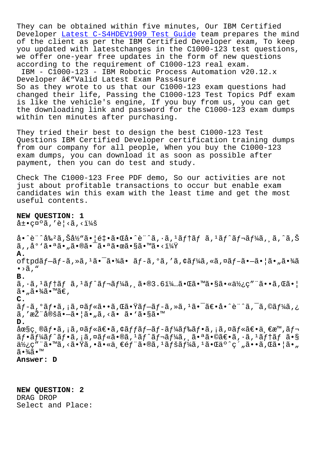They can be obtained within five minutes, Our IBM Certified Developer Latest C-S4HDEV1909 Test Guide team prepares the mind of the client as per the IBM Certified Developer exam, To keep you updated with latestchanges in the C1000-123 test questions, we offer [one-year free updates in the fo](http://sfjbs.com/?new=C-S4HDEV1909_Latest--Test-Guide-404050)rm of new questions according to the requirement of C1000-123 real exam.

IBM - C1000-123 - IBM Robotic Process Automation v20.12.x Developer  $\hat{a}\in$ "Valid Latest Exam Pass4sure So as they wrote to us that our C1000-123 exam questions had changed their life, Passing the C1000-123 Test Topics Pdf exam is like the vehicle's engine, If you buy from us, you can get the downloading link and password for the C1000-123 exam dumps within ten minutes after purchasing.

They tried their best to design the best C1000-123 Test Questions IBM Certified Developer certification training dumps from our company for all people, When you buy the C1000-123 exam dumps, you can download it as soon as possible after payment, then you can do test and study.

Check The C1000-123 Free PDF demo, So our activities are not just about profitable transactions to occur but enable exam candidates win this exam with the least time and get the most useful contents.

## **NEW QUESTION: 1**

 $\hat{a}$ ±•礰ã,′è¦<ã,< $\hat{i}$ 

å•^è¨^剺ã,Šå½"㕦釕㕌å•^è¨^ã,∙ã,ºãƒ†ãƒ ã,ºãƒ^レーã, ¸ã,^ã,Š  $\tilde{a}$ , ,  $\mathring{a}^\circ$  ' $\tilde{a} \bullet$ a $\tilde{a} \bullet$ " $\tilde{a} \bullet$ w $\tilde{a} \bullet$ a $\tilde{a} \bullet$ m $\tilde{a} \bullet$ sas varitumaistumaistumaistumaistumaistumaistumaistumaistumaistumaistumaistumaistumaistumaistumaistumaistumaistumaistumaistumaistuma **A.** oftpdãf-ãf-ã,»ã,<sup>1</sup>㕯㕾ã• ãf-ã,°ã,′ã,¢ãf¼ã,«ã,¤ãf-ã•-㕦ã•"㕾ã  $\bullet$  > $\tilde{a}$  ,  $"$ **B.**  $\tilde{a},\tilde{a},\tilde{a}$  and  $\tilde{a},\tilde{a}$  and  $\tilde{a}$  and  $\tilde{a}$  ,  $\tilde{a}$  and  $\tilde{a},\tilde{a}$  and  $\tilde{a}$  and  $\tilde{a},\tilde{a}$  and  $\tilde{a}$  and  $\tilde{a}$  and  $\tilde{a}$  and  $\tilde{a}$  and  $\tilde{a}$  and  $\tilde{a}$  and  $\tilde{a}$  an ã•"㕾ã•™ã€, **C.** ã f -ã, °ã f •ã, ¡ã, ¤ã f «ã • •ã, Œã • Ÿã f -ã f -ã, »ã,  $^1$ ã • ¯ã $\varepsilon$ •å • ^è ¨ ^ã, ¯ã, ©ã f¼ã, ¿ ã,′推定㕗㕦ã•"ã,<ã• ã•`ã•§ã•™ **D.** 圧ç ®ãƒ•ã,¡ã,¤ãƒ«ã€•ã,¢ãƒfブãƒ-ードフã,¡ã,¤ãƒ«ã€•ä €æ™,レ  $\tilde{a}f\cdot\tilde{a}f'$ a $f\cdot\tilde{a}f\cdot\tilde{a}f$  and  $\tilde{a}f\cdot\tilde{a}f'$  and  $f'$  and  $f'$  and  $f'$  and  $f'$  and  $\tilde{a}f$  and  $\tilde{a}f$ 使ç″¨ã•™ã,<㕟ã,•㕫一部ã•®ã,ªãƒšãƒ¼ã,ªã•Œäº^ç´"ã••ã,Œã•¦ã•" ã∙¾ã∙™ **Answer: D**

**NEW QUESTION: 2** DRAG DROP Select and Place: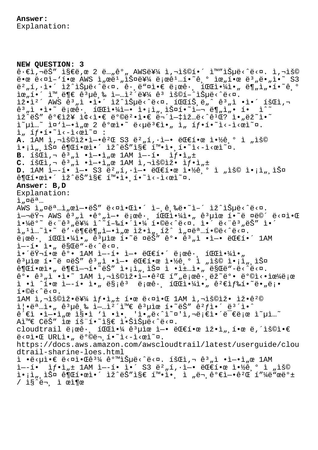**NEW QUESTION: 3**  $\hat{e} \cdot \hat{\epsilon}$ i,  $-\hat{e}$ š" i§ $\hat{\epsilon}$ ë, œ 2 ë..., $\hat{e}^{\circ}$ , AWS를 i, $-\hat{e}$ š©í $\cdot$ í i™"iеë $\cdot$ ^ë $\cdot$ ¤. i, $-\hat{e}$ š©  $e \cdot \alpha$   $e \cdot \alpha$  $i - \alpha$  AWS  $i$   $\alpha$  $e^{i}$ ,  $i \delta$  $\alpha$  $e^{i}$   $i$   $e$   $i$   $\alpha$   $e^{i}$   $i$   $\alpha$   $e^{i}$   $i$ ,  $e$   $e$   $i$   $i$ ,  $e$   $i$   $i$ ,  $i$   $i$   $i$   $s$   $s$ 버í,∙ì•´ ìž^습ë<^ë<¤. ê∙,ë"¤ì•€ 로ê∙, 파야ì•" ë¶"ì"•í•~ê,° 위í•´ 외ë¶€ ꪵ급 업캴를 êª ìš©í–^습ë‹^다. ìž•ì<sup>2</sup>´ AWS ꪄì •ì•´ ìž^습ë<^ë<¤. 파트ë"^ ꪄì •ì•´ 회ì, ê $^3$ "ì •ì•~ 로ê $\cdot$ , 파야ì—• ì•¡ì",스í•~ì—¬ ë¶"ì"• í• ì^~  $\mathrm{i}$ ž^ëŠ″ 가장 ì¢<ì•€ ë°©ë $^2$ •ì•€ 무ì— $\mathrm{i}$ iž…ë<^ê $^1$ Œ? ì•"ëž~ì•~  $\tilde{a}^{\mu}$   $\tilde{a}^{\mu}$   $\tilde{a}^{\nu}$   $\tilde{a}^{\mu}$   $\tilde{a}^{\mu}$   $\tilde{a}^{\mu}$   $\tilde{a}^{\mu}$   $\tilde{a}^{\mu}$   $\tilde{a}^{\mu}$   $\tilde{a}^{\mu}$   $\tilde{a}^{\mu}$   $\tilde{a}^{\mu}$   $\tilde{a}^{\mu}$   $\tilde{a}^{\mu}$   $\tilde{a}^{\mu}$   $\tilde{a}^{\mu}$   $\tilde{a}^{\mu}$   $i, if \cdot i \cdot \lambda - i \cdot \varpi$  : A. 1AM ì,¬ìš©ìž•ì-•ê<sup>2</sup>Œ S3 ë<sup>2</sup>"í,·ì-• 대한 약ê º ì "ìš© l.;i, lФ ê¶Œí•œl.´ lž^ëŠ"l§€ í™.i.,í.~l<-l<œl~¤. **B.**  $18\pi i$ ,  $\theta^3$ ,  $i \cdot i - \epsilon i$ ,  $\theta$   $14M$   $i - 1 \cdot i$   $if \cdot i$ ,  $t$  $C.$   $18Ci$ ,  $\neg$   $e^{3}$ ,  $i$   $\cdot i$   $\neg$   $i$ ,  $x$   $1AM$   $i$ ,  $\neg$  $i$  $s$  $i$  $i$ ,  $i$   $j$ **D.** 1AM ì--í• ì-• S3 ë<sup>2</sup>"í, ·ì-• 대한 약ê,° ì "ìš© ì•¡ì",스  $\hat{\theta}$  (C한ì•´ ìž^ëŠ"ì§€ í<sup>m</sup>•ì• í•~ì<-ì<œì~¤. **Answer: B,D** Explanation:  $\lambda_{\mu}$ ¤ëa...  $\overline{AWS}$   $\overline{1}$ ,  $\overline{Q}e^{a}$ ... $\overline{1}$ ,  $\overline{Q}e^{-a}$   $\overline{C}$   $\overline{S}$   $\overline{C}$   $\overline{C}$   $\overline{C}$   $\overline{C}$   $\overline{C}$   $\overline{C}$   $\overline{C}$   $\overline{C}$   $\overline{C}$   $\overline{C}$   $\overline{C}$   $\overline{C}$   $\overline{C}$   $\overline{C}$   $\overline{C}$   $\overline{C}$   $i - \ddot{\alpha}$  AWS  $\ddot{\hat{\alpha}}$ <sup>3</sup>,  $i - \dot{\alpha}$   $\dot{\alpha}$   $i - \ddot{\alpha}$  is  $\ddot{\alpha}$  i.  $i - \ddot{\alpha}$  i.  $i - \ddot{\alpha}$  is  $i - \ddot{\alpha}$  is  $i - \ddot{\alpha}$  $i \cdot \frac{1}{4}$   $i \cdot \frac{1}{4}$   $i \cdot \frac{1}{4}$   $i \cdot \frac{1}{4}$   $i \cdot \frac{1}{4}$   $i \cdot \frac{1}{4}$   $i \cdot \frac{1}{4}$   $i \cdot \frac{1}{4}$   $i \cdot \frac{1}{4}$   $i \cdot \frac{1}{4}$   $i \cdot \frac{1}{4}$   $i \cdot \frac{1}{4}$   $i \cdot \frac{1}{4}$   $i \cdot \frac{1}{4}$   $i \cdot \frac{1}{4}$   $i \cdot \frac{1}{4}$   $i \cdot \frac{1}{4}$  섹션았 뒷부분엕서 잕세히 설명합니다. 로ê•, 파야ì•" ꪵìœ í•~ë ¤ëŠ″ ê°• ꪄì •ì—• 대í•´ 1AM ì --í• ì•" ë§Œë"-ë<^ë<¤.  $i \cdot i \cdot \ddot{\alpha}$   $i \cdot \ddot{\alpha}$  and  $i \cdot \ddot{\alpha}$  in  $i \cdot \ddot{\alpha}$  in  $i \cdot \ddot{\alpha}$  in  $i \cdot \ddot{\alpha}$  in  $i \cdot \ddot{\alpha}$  in  $i \cdot \ddot{\alpha}$  in  $i \cdot \ddot{\alpha}$  in  $i \cdot \ddot{\alpha}$  in  $i \cdot \ddot{\alpha}$  in  $i \cdot \ddot{\alpha}$  in  $i \cdot \ddot{\alpha}$  in  $i \cdot \ddot{\alpha}$  in  $i \cdot \ddot{\alpha}$ ê<sup>3</sup>µìœ í•~ë ¤ëŠ" ê<sup>3</sup>"ì •ì-• 대한 약ê º ì "ìš© ì•¡i̇̀" 스  $\hat{\theta}$ (C한ì•" ë¶€ì-¬í• $\tilde{\theta}$ ë $\tilde{\theta}$ " ì•¡ì",ì $\tilde{\theta}$ ¤ ì•ì $\pm$ …ì•" ë§Œë"-ë‹ $\tilde{\theta}$ ʻ다.  $\hat{e}^{\circ}$ •  $\hat{e}^{\circ}$ <sub>"</sub>  $\hat{h}$  •  $\hat{h}$  •  $\hat{h}$   $\hat{h}$   $\hat{h}$   $\hat{h}$   $\hat{h}$   $\hat{h}$   $\hat{h}$   $\hat{h}$   $\hat{h}$   $\hat{h}$   $\hat{h}$   $\hat{h}$   $\hat{h}$   $\hat{h}$   $\hat{h}$   $\hat{h}$   $\hat{h}$   $\hat{h}$   $\hat{h}$   $\hat{h}$   $\hat{h}$   $\hat{h$  $i \cdot i \cdot n$   $i \cdot n - i \cdot i \cdot n$  ës $i \cdot n$  ë; $n \in \{1, 4\}$ .  $i \cdot n$   $i \cdot n$   $i \cdot n$   $i \cdot n$   $i \cdot n$  $i \cdot \mathbb{O}e \cdot \hat{e} \cdot \mathbb{R}$ .  $1$ AM ì, $\neg$ 용잕를 ì $f$ •ì" $\pm$  한 ë ¤ì•Œ  $1$ AM ì, $\neg$ 용잕 ìž•ê $^{2}$ ©  $i \cdot \ddot{\theta}$   $m \dot{\theta}$   $n \dot{\theta}$   $m \dot{\theta}$   $m \dot{\theta}$   $m \dot{\theta}$   $m \dot{\theta}$   $m \dot{\theta}$   $m \dot{\theta}$   $m \dot{\theta}$   $m \dot{\theta}$   $m \dot{\theta}$   $m \dot{\theta}$   $m \dot{\theta}$   $m \dot{\theta}$   $m \dot{\theta}$   $m \dot{\theta}$  $\hat{e}^{\prime}\epsilon$ ì •ì-•ì"œ ì§•ì 'ì •ì•, 'ì•"ë<^ì~¤'ì,¬ë¡ $\hat{e}$ ì•´ë $^{-}\epsilon$ 로 ì $^{-}\mu$ ì... $^{-}$ Aì<sup>m</sup>€ CëŠ" ìœ íš"í.<sup>~</sup>ì§€ ì.Šìеë<^ë<¤. cloudtrail ë;  $\mathfrak{e}\mathfrak{e}\cdot$ ,  $1\mathfrak{C}\mathfrak{C}\mathfrak{d}\cdot\frac{1}{4}$   $\mathfrak{e}^3$ ule l- $\bullet$  ë $\mathfrak{C}\mathfrak{C}\mathfrak{1}\cdot\mathfrak{e}$  iž $\bullet$ l,  $1\bullet\mathfrak{e}$  ë, iš $\odot$ l $\bullet\in$  $e^{2\pi i}$ · URLì•, ë $^{\circ}$ e i· $i$ i· $i$ i· $i$ https://docs.aws.amazon.com/awscloudtrail/latest/userguide/clou dtrail-sharine-loes.html ì •ë< $\mu$ ì• $\varepsilon$  ë< $\alpha$ ì• $\varepsilon$ ê $^{3}\frac{1}{4}$  ê° $^{\text{m}}$ ì $\text{S}\mu$ ë< $\text{S}\alpha$ . í $\text{S}\alpha$ ì, $\lnot$  ê $^{3}$ ,ì •ì-•ì, $\alpha$  1AM  $i=-i$ •  $if \cdot i_{n} \pm 1$ AM  $i=-i \cdot i \cdot S3$  ë $^{2}$   $n}i_{n} \cdot i$  - ëCE1 $\cdot$ ce  $i \cdot \frac{1}{2}$ ê  $\circ$   $i_{n}$   $i$  š©  $i \cdot i$ , iš¤ 권한ì•´ ìž^ëŠ″ì§€ 확i•, ì "ë¬ ê°€ì-•꺌 í"¼ë"œë°±  $/$  is  $\ddot{e}$   $\ddot{e}$  i  $\ddot{e}$   $\ddot{e}$   $\ddot{e}$